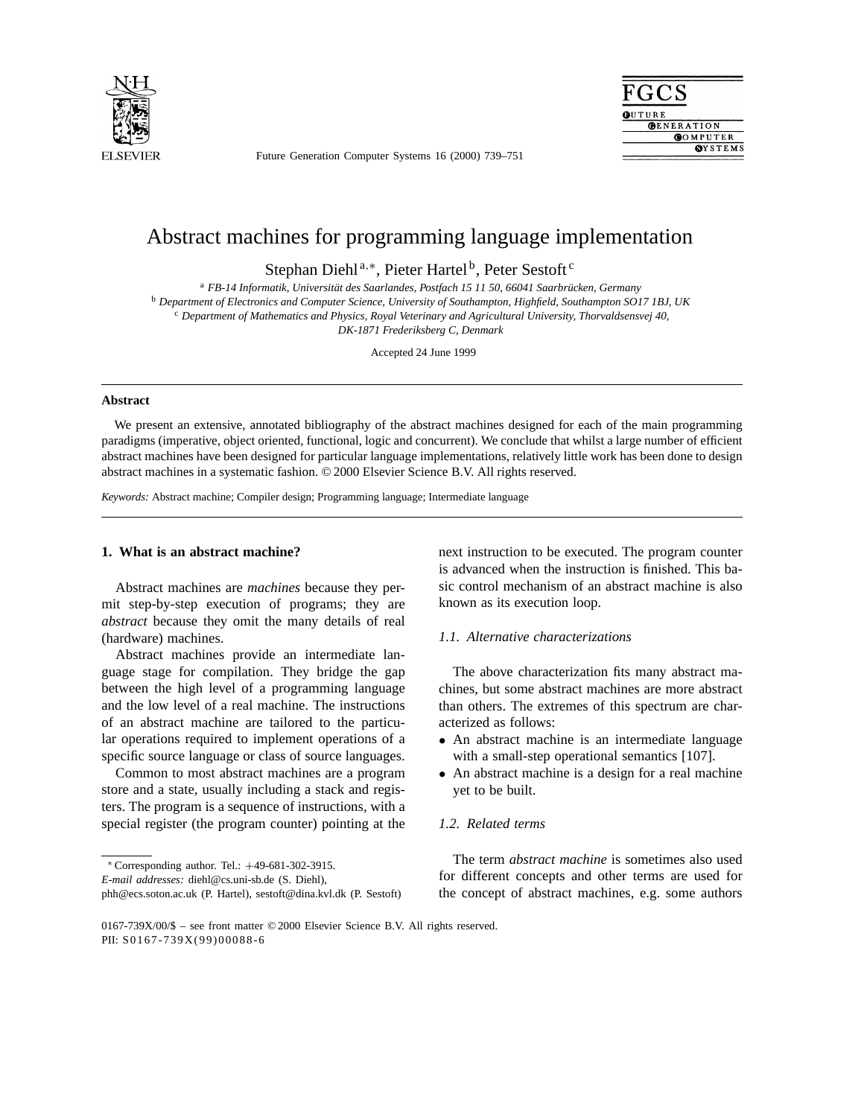

Future Generation Computer Systems 16 (2000) 739–751



# Abstract machines for programming language implementation

Stephan Diehl<sup>a,∗</sup>, Pieter Hartel<sup>b</sup>, Peter Sestoft<sup>c</sup>

<sup>a</sup> *FB-14 Informatik, Universität des Saarlandes, Postfach 15 11 50, 66041 Saarbrücken, Germany* <sup>b</sup> *Department of Electronics and Computer Science, University of Southampton, Highfield, Southampton SO17 1BJ, UK* <sup>c</sup> *Department of Mathematics and Physics, Royal Veterinary and Agricultural University, Thorvaldsensvej 40,*

*DK-1871 Frederiksberg C, Denmark*

Accepted 24 June 1999

#### **Abstract**

We present an extensive, annotated bibliography of the abstract machines designed for each of the main programming paradigms (imperative, object oriented, functional, logic and concurrent). We conclude that whilst a large number of efficient abstract machines have been designed for particular language implementations, relatively little work has been done to design abstract machines in a systematic fashion. © 2000 Elsevier Science B.V. All rights reserved.

*Keywords:* Abstract machine; Compiler design; Programming language; Intermediate language

## **1. What is an abstract machine?**

Abstract machines are *machines* because they permit step-by-step execution of programs; they are *abstract* because they omit the many details of real (hardware) machines.

Abstract machines provide an intermediate language stage for compilation. They bridge the gap between the high level of a programming language and the low level of a real machine. The instructions of an abstract machine are tailored to the particular operations required to implement operations of a specific source language or class of source languages.

Common to most abstract machines are a program store and a state, usually including a stack and registers. The program is a sequence of instructions, with a special register (the program counter) pointing at the

<sup>∗</sup> Corresponding author. Tel.: +49-681-302-3915.

*E-mail addresses:* diehl@cs.uni-sb.de (S. Diehl),

phh@ecs.soton.ac.uk (P. Hartel), sestoft@dina.kvl.dk (P. Sestoft)

next instruction to be executed. The program counter is advanced when the instruction is finished. This basic control mechanism of an abstract machine is also known as its execution loop.

#### *1.1. Alternative characterizations*

The above characterization fits many abstract machines, but some abstract machines are more abstract than others. The extremes of this spectrum are characterized as follows:

- An abstract machine is an intermediate language with a small-step operational semantics [107].
- An abstract machine is a design for a real machine yet to be built.

## *1.2. Related terms*

The term *abstract machine* is sometimes also used for different concepts and other terms are used for the concept of abstract machines, e.g. some authors

<sup>0167-739</sup>X/00/\$ – see front matter © 2000 Elsevier Science B.V. All rights reserved. PII: S0167-739X(99)00088-6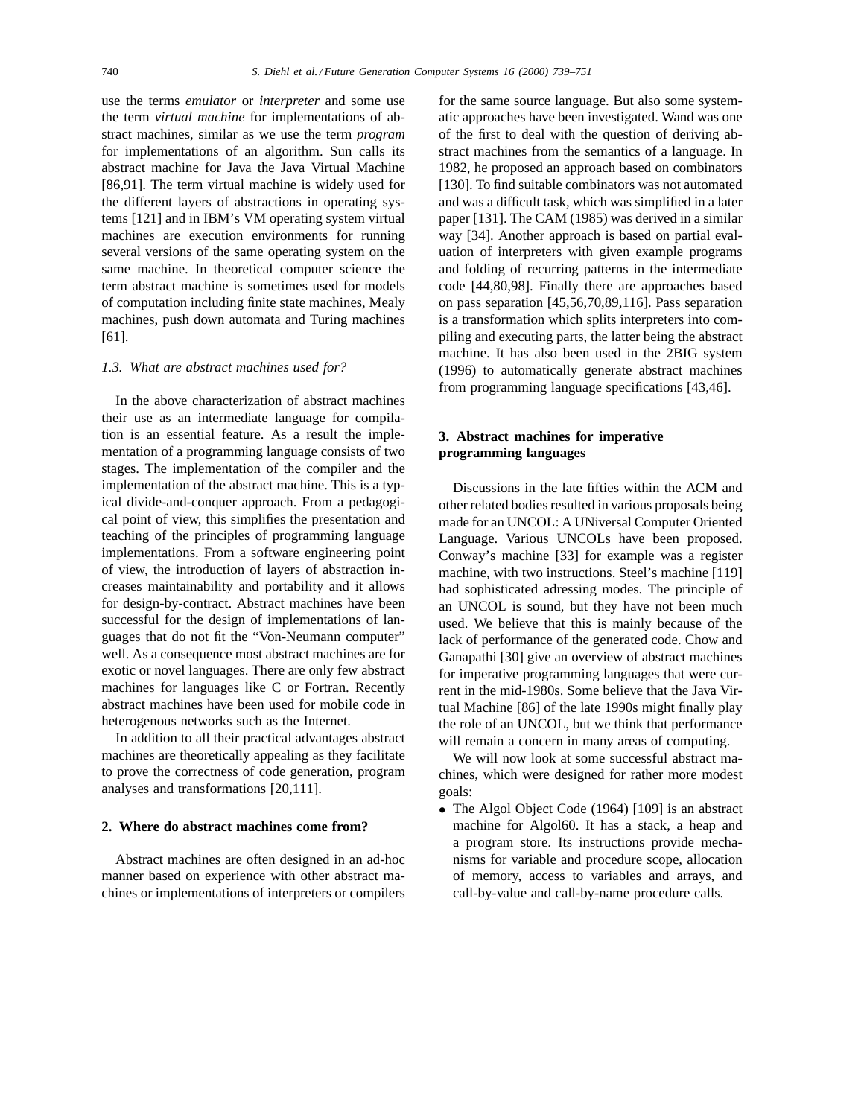use the terms *emulator* or *interpreter* and some use the term *virtual machine* for implementations of abstract machines, similar as we use the term *program* for implementations of an algorithm. Sun calls its abstract machine for Java the Java Virtual Machine [86,91]. The term virtual machine is widely used for the different layers of abstractions in operating systems [121] and in IBM's VM operating system virtual machines are execution environments for running several versions of the same operating system on the same machine. In theoretical computer science the term abstract machine is sometimes used for models of computation including finite state machines, Mealy machines, push down automata and Turing machines [61].

#### *1.3. What are abstract machines used for?*

In the above characterization of abstract machines their use as an intermediate language for compilation is an essential feature. As a result the implementation of a programming language consists of two stages. The implementation of the compiler and the implementation of the abstract machine. This is a typical divide-and-conquer approach. From a pedagogical point of view, this simplifies the presentation and teaching of the principles of programming language implementations. From a software engineering point of view, the introduction of layers of abstraction increases maintainability and portability and it allows for design-by-contract. Abstract machines have been successful for the design of implementations of languages that do not fit the "Von-Neumann computer" well. As a consequence most abstract machines are for exotic or novel languages. There are only few abstract machines for languages like C or Fortran. Recently abstract machines have been used for mobile code in heterogenous networks such as the Internet.

In addition to all their practical advantages abstract machines are theoretically appealing as they facilitate to prove the correctness of code generation, program analyses and transformations [20,111].

### **2. Where do abstract machines come from?**

Abstract machines are often designed in an ad-hoc manner based on experience with other abstract machines or implementations of interpreters or compilers

for the same source language. But also some systematic approaches have been investigated. Wand was one of the first to deal with the question of deriving abstract machines from the semantics of a language. In 1982, he proposed an approach based on combinators [130]. To find suitable combinators was not automated and was a difficult task, which was simplified in a later paper [131]. The CAM (1985) was derived in a similar way [34]. Another approach is based on partial evaluation of interpreters with given example programs and folding of recurring patterns in the intermediate code [44,80,98]. Finally there are approaches based on pass separation [45,56,70,89,116]. Pass separation is a transformation which splits interpreters into compiling and executing parts, the latter being the abstract machine. It has also been used in the 2BIG system (1996) to automatically generate abstract machines from programming language specifications [43,46].

## **3. Abstract machines for imperative programming languages**

Discussions in the late fifties within the ACM and other related bodies resulted in various proposals being made for an UNCOL: A UNiversal Computer Oriented Language. Various UNCOLs have been proposed. Conway's machine [33] for example was a register machine, with two instructions. Steel's machine [119] had sophisticated adressing modes. The principle of an UNCOL is sound, but they have not been much used. We believe that this is mainly because of the lack of performance of the generated code. Chow and Ganapathi [30] give an overview of abstract machines for imperative programming languages that were current in the mid-1980s. Some believe that the Java Virtual Machine [86] of the late 1990s might finally play the role of an UNCOL, but we think that performance will remain a concern in many areas of computing.

We will now look at some successful abstract machines, which were designed for rather more modest goals:

• The Algol Object Code (1964) [109] is an abstract machine for Algol60. It has a stack, a heap and a program store. Its instructions provide mechanisms for variable and procedure scope, allocation of memory, access to variables and arrays, and call-by-value and call-by-name procedure calls.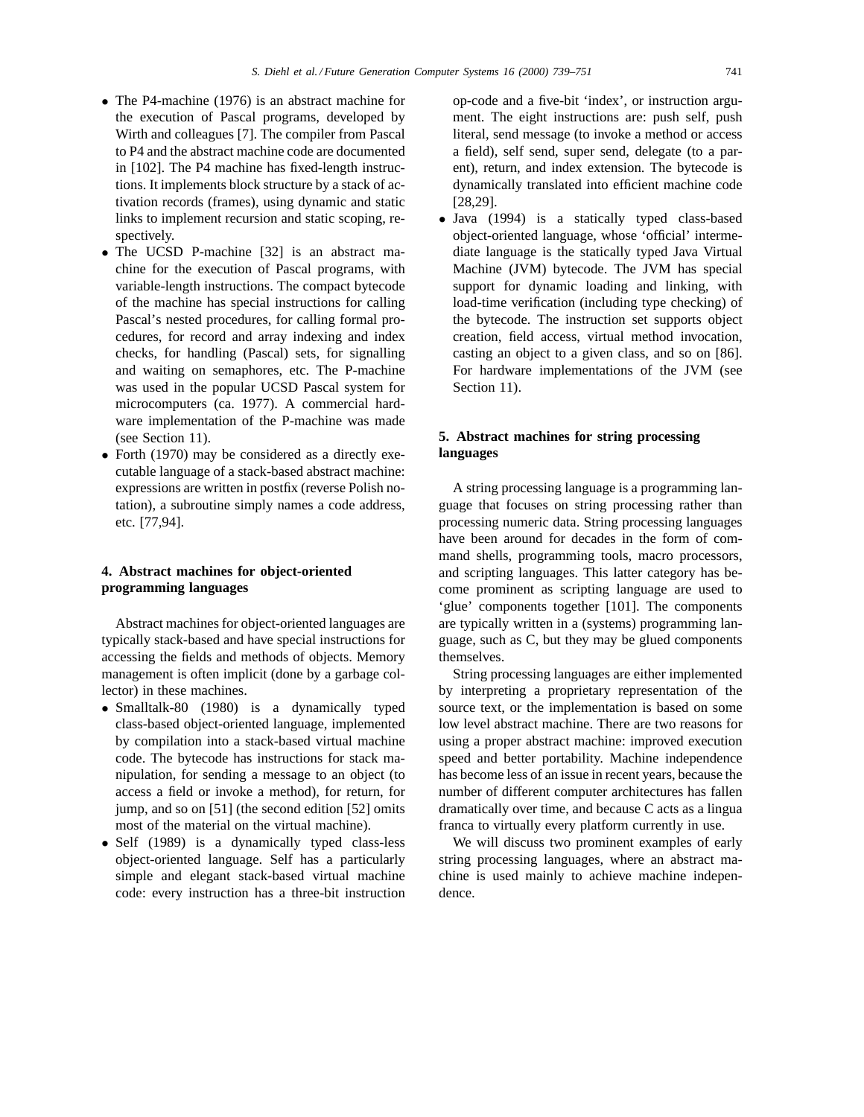- The P4-machine (1976) is an abstract machine for the execution of Pascal programs, developed by Wirth and colleagues [7]. The compiler from Pascal to P4 and the abstract machine code are documented in [102]. The P4 machine has fixed-length instructions. It implements block structure by a stack of activation records (frames), using dynamic and static links to implement recursion and static scoping, respectively.
- The UCSD P-machine [32] is an abstract machine for the execution of Pascal programs, with variable-length instructions. The compact bytecode of the machine has special instructions for calling Pascal's nested procedures, for calling formal procedures, for record and array indexing and index checks, for handling (Pascal) sets, for signalling and waiting on semaphores, etc. The P-machine was used in the popular UCSD Pascal system for microcomputers (ca. 1977). A commercial hardware implementation of the P-machine was made (see Section 11).
- Forth (1970) may be considered as a directly executable language of a stack-based abstract machine: expressions are written in postfix (reverse Polish notation), a subroutine simply names a code address, etc. [77,94].

# **4. Abstract machines for object-oriented programming languages**

Abstract machines for object-oriented languages are typically stack-based and have special instructions for accessing the fields and methods of objects. Memory management is often implicit (done by a garbage collector) in these machines.

- Smalltalk-80 (1980) is a dynamically typed class-based object-oriented language, implemented by compilation into a stack-based virtual machine code. The bytecode has instructions for stack manipulation, for sending a message to an object (to access a field or invoke a method), for return, for jump, and so on [51] (the second edition [52] omits most of the material on the virtual machine).
- Self (1989) is a dynamically typed class-less object-oriented language. Self has a particularly simple and elegant stack-based virtual machine code: every instruction has a three-bit instruction

op-code and a five-bit 'index', or instruction argument. The eight instructions are: push self, push literal, send message (to invoke a method or access a field), self send, super send, delegate (to a parent), return, and index extension. The bytecode is dynamically translated into efficient machine code [28,29].

• Java (1994) is a statically typed class-based object-oriented language, whose 'official' intermediate language is the statically typed Java Virtual Machine (JVM) bytecode. The JVM has special support for dynamic loading and linking, with load-time verification (including type checking) of the bytecode. The instruction set supports object creation, field access, virtual method invocation, casting an object to a given class, and so on [86]. For hardware implementations of the JVM (see Section 11).

# **5. Abstract machines for string processing languages**

A string processing language is a programming language that focuses on string processing rather than processing numeric data. String processing languages have been around for decades in the form of command shells, programming tools, macro processors, and scripting languages. This latter category has become prominent as scripting language are used to 'glue' components together [101]. The components are typically written in a (systems) programming language, such as C, but they may be glued components themselves.

String processing languages are either implemented by interpreting a proprietary representation of the source text, or the implementation is based on some low level abstract machine. There are two reasons for using a proper abstract machine: improved execution speed and better portability. Machine independence has become less of an issue in recent years, because the number of different computer architectures has fallen dramatically over time, and because C acts as a lingua franca to virtually every platform currently in use.

We will discuss two prominent examples of early string processing languages, where an abstract machine is used mainly to achieve machine independence.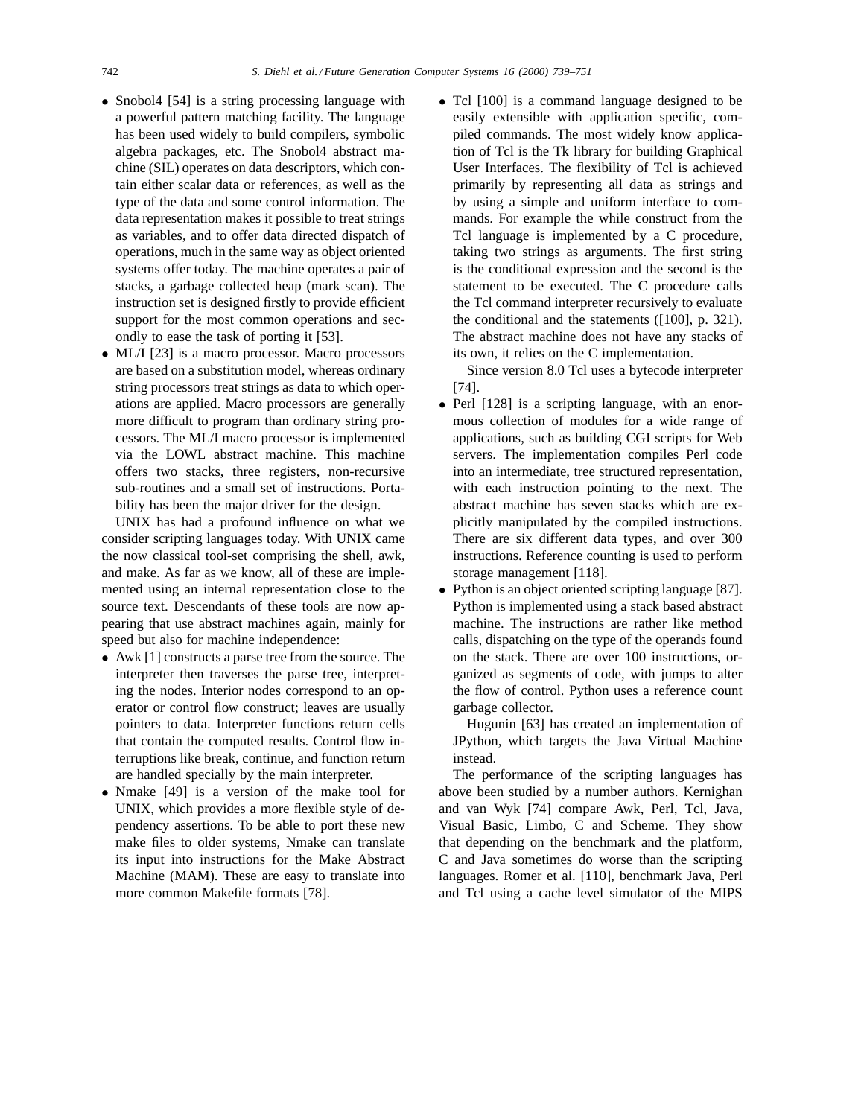- Snobol4 [54] is a string processing language with a powerful pattern matching facility. The language has been used widely to build compilers, symbolic algebra packages, etc. The Snobol4 abstract machine (SIL) operates on data descriptors, which contain either scalar data or references, as well as the type of the data and some control information. The data representation makes it possible to treat strings as variables, and to offer data directed dispatch of operations, much in the same way as object oriented systems offer today. The machine operates a pair of stacks, a garbage collected heap (mark scan). The instruction set is designed firstly to provide efficient support for the most common operations and secondly to ease the task of porting it [53].
- ML/I [23] is a macro processor. Macro processors are based on a substitution model, whereas ordinary string processors treat strings as data to which operations are applied. Macro processors are generally more difficult to program than ordinary string processors. The ML/I macro processor is implemented via the LOWL abstract machine. This machine offers two stacks, three registers, non-recursive sub-routines and a small set of instructions. Portability has been the major driver for the design.

UNIX has had a profound influence on what we consider scripting languages today. With UNIX came the now classical tool-set comprising the shell, awk, and make. As far as we know, all of these are implemented using an internal representation close to the source text. Descendants of these tools are now appearing that use abstract machines again, mainly for speed but also for machine independence:

- Awk [1] constructs a parse tree from the source. The interpreter then traverses the parse tree, interpreting the nodes. Interior nodes correspond to an operator or control flow construct; leaves are usually pointers to data. Interpreter functions return cells that contain the computed results. Control flow interruptions like break, continue, and function return are handled specially by the main interpreter.
- Nmake [49] is a version of the make tool for UNIX, which provides a more flexible style of dependency assertions. To be able to port these new make files to older systems, Nmake can translate its input into instructions for the Make Abstract Machine (MAM). These are easy to translate into more common Makefile formats [78].

• Tcl [100] is a command language designed to be easily extensible with application specific, compiled commands. The most widely know application of Tcl is the Tk library for building Graphical User Interfaces. The flexibility of Tcl is achieved primarily by representing all data as strings and by using a simple and uniform interface to commands. For example the while construct from the Tcl language is implemented by a C procedure, taking two strings as arguments. The first string is the conditional expression and the second is the statement to be executed. The C procedure calls the Tcl command interpreter recursively to evaluate the conditional and the statements ([100], p. 321). The abstract machine does not have any stacks of its own, it relies on the C implementation.

Since version 8.0 Tcl uses a bytecode interpreter [74].

- Perl [128] is a scripting language, with an enormous collection of modules for a wide range of applications, such as building CGI scripts for Web servers. The implementation compiles Perl code into an intermediate, tree structured representation, with each instruction pointing to the next. The abstract machine has seven stacks which are explicitly manipulated by the compiled instructions. There are six different data types, and over 300 instructions. Reference counting is used to perform storage management [118].
- Python is an object oriented scripting language [87]. Python is implemented using a stack based abstract machine. The instructions are rather like method calls, dispatching on the type of the operands found on the stack. There are over 100 instructions, organized as segments of code, with jumps to alter the flow of control. Python uses a reference count garbage collector.

Hugunin [63] has created an implementation of JPython, which targets the Java Virtual Machine instead.

The performance of the scripting languages has above been studied by a number authors. Kernighan and van Wyk [74] compare Awk, Perl, Tcl, Java, Visual Basic, Limbo, C and Scheme. They show that depending on the benchmark and the platform, C and Java sometimes do worse than the scripting languages. Romer et al. [110], benchmark Java, Perl and Tcl using a cache level simulator of the MIPS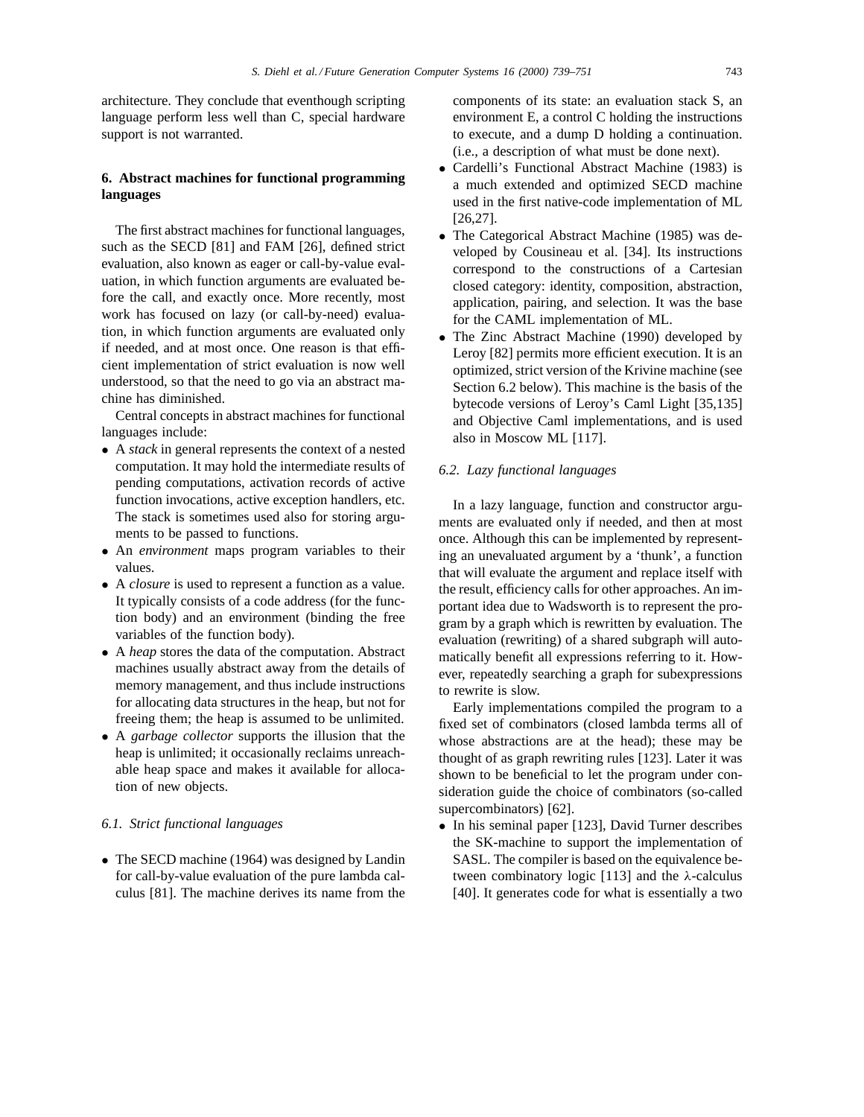architecture. They conclude that eventhough scripting language perform less well than C, special hardware support is not warranted.

# **6. Abstract machines for functional programming languages**

The first abstract machines for functional languages, such as the SECD [81] and FAM [26], defined strict evaluation, also known as eager or call-by-value evaluation, in which function arguments are evaluated before the call, and exactly once. More recently, most work has focused on lazy (or call-by-need) evaluation, in which function arguments are evaluated only if needed, and at most once. One reason is that efficient implementation of strict evaluation is now well understood, so that the need to go via an abstract machine has diminished.

Central concepts in abstract machines for functional languages include:

- A *stack* in general represents the context of a nested computation. It may hold the intermediate results of pending computations, activation records of active function invocations, active exception handlers, etc. The stack is sometimes used also for storing arguments to be passed to functions.
- An *environment* maps program variables to their values.
- A *closure* is used to represent a function as a value. It typically consists of a code address (for the function body) and an environment (binding the free variables of the function body).
- A *heap* stores the data of the computation. Abstract machines usually abstract away from the details of memory management, and thus include instructions for allocating data structures in the heap, but not for freeing them; the heap is assumed to be unlimited.
- A *garbage collector* supports the illusion that the heap is unlimited; it occasionally reclaims unreachable heap space and makes it available for allocation of new objects.

#### *6.1. Strict functional languages*

• The SECD machine (1964) was designed by Landin for call-by-value evaluation of the pure lambda calculus [81]. The machine derives its name from the components of its state: an evaluation stack S, an environment E, a control C holding the instructions to execute, and a dump D holding a continuation. (i.e., a description of what must be done next).

- Cardelli's Functional Abstract Machine (1983) is a much extended and optimized SECD machine used in the first native-code implementation of ML [26,27].
- The Categorical Abstract Machine (1985) was developed by Cousineau et al. [34]. Its instructions correspond to the constructions of a Cartesian closed category: identity, composition, abstraction, application, pairing, and selection. It was the base for the CAML implementation of ML.
- The Zinc Abstract Machine (1990) developed by Leroy [82] permits more efficient execution. It is an optimized, strict version of the Krivine machine (see Section 6.2 below). This machine is the basis of the bytecode versions of Leroy's Caml Light [35,135] and Objective Caml implementations, and is used also in Moscow ML [117].

#### *6.2. Lazy functional languages*

In a lazy language, function and constructor arguments are evaluated only if needed, and then at most once. Although this can be implemented by representing an unevaluated argument by a 'thunk', a function that will evaluate the argument and replace itself with the result, efficiency calls for other approaches. An important idea due to Wadsworth is to represent the program by a graph which is rewritten by evaluation. The evaluation (rewriting) of a shared subgraph will automatically benefit all expressions referring to it. However, repeatedly searching a graph for subexpressions to rewrite is slow.

Early implementations compiled the program to a fixed set of combinators (closed lambda terms all of whose abstractions are at the head); these may be thought of as graph rewriting rules [123]. Later it was shown to be beneficial to let the program under consideration guide the choice of combinators (so-called supercombinators) [62].

• In his seminal paper [123], David Turner describes the SK-machine to support the implementation of SASL. The compiler is based on the equivalence between combinatory logic [113] and the  $\lambda$ -calculus [40]. It generates code for what is essentially a two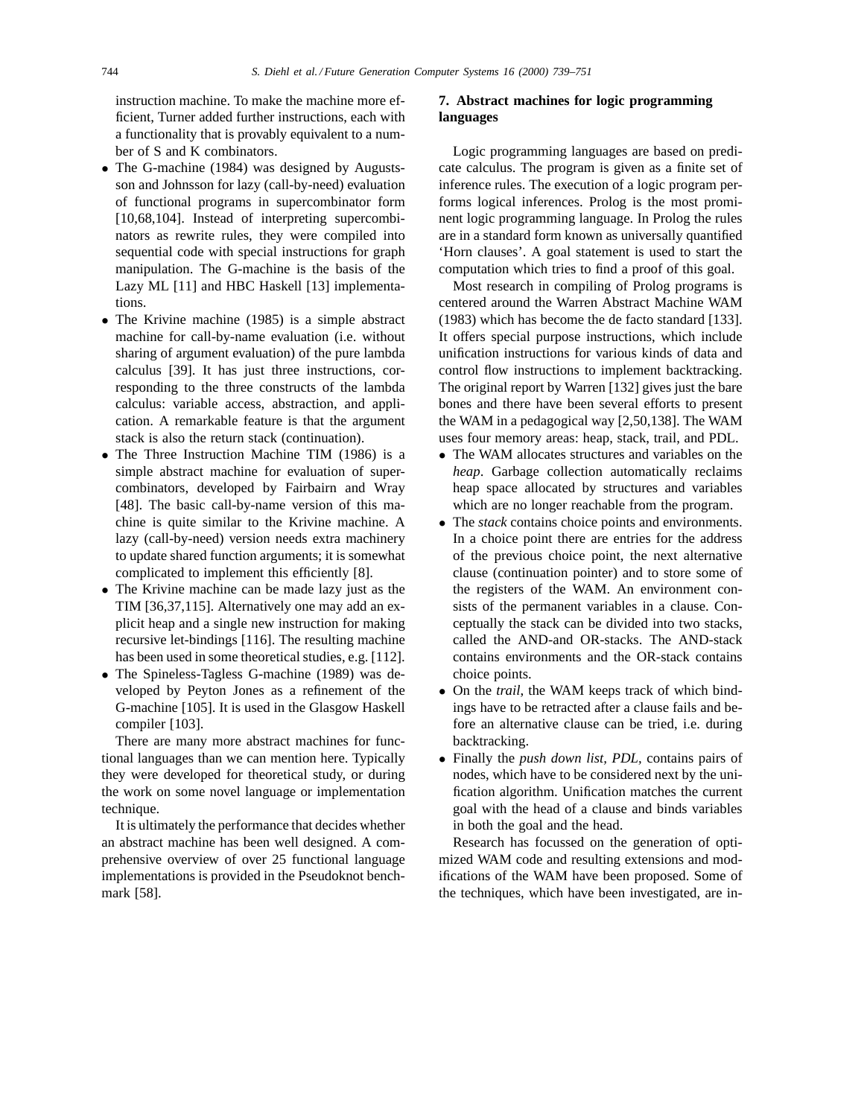instruction machine. To make the machine more efficient, Turner added further instructions, each with a functionality that is provably equivalent to a number of S and K combinators.

- The G-machine (1984) was designed by Augustsson and Johnsson for lazy (call-by-need) evaluation of functional programs in supercombinator form [10,68,104]. Instead of interpreting supercombinators as rewrite rules, they were compiled into sequential code with special instructions for graph manipulation. The G-machine is the basis of the Lazy ML [11] and HBC Haskell [13] implementations.
- The Krivine machine (1985) is a simple abstract machine for call-by-name evaluation (i.e. without sharing of argument evaluation) of the pure lambda calculus [39]. It has just three instructions, corresponding to the three constructs of the lambda calculus: variable access, abstraction, and application. A remarkable feature is that the argument stack is also the return stack (continuation).
- The Three Instruction Machine TIM (1986) is a simple abstract machine for evaluation of supercombinators, developed by Fairbairn and Wray [48]. The basic call-by-name version of this machine is quite similar to the Krivine machine. A lazy (call-by-need) version needs extra machinery to update shared function arguments; it is somewhat complicated to implement this efficiently [8].
- The Krivine machine can be made lazy just as the TIM [36,37,115]. Alternatively one may add an explicit heap and a single new instruction for making recursive let-bindings [116]. The resulting machine has been used in some theoretical studies, e.g. [112].
- The Spineless-Tagless G-machine (1989) was developed by Peyton Jones as a refinement of the G-machine [105]. It is used in the Glasgow Haskell compiler [103].

There are many more abstract machines for functional languages than we can mention here. Typically they were developed for theoretical study, or during the work on some novel language or implementation technique.

It is ultimately the performance that decides whether an abstract machine has been well designed. A comprehensive overview of over 25 functional language implementations is provided in the Pseudoknot benchmark [58].

## **7. Abstract machines for logic programming languages**

Logic programming languages are based on predicate calculus. The program is given as a finite set of inference rules. The execution of a logic program performs logical inferences. Prolog is the most prominent logic programming language. In Prolog the rules are in a standard form known as universally quantified 'Horn clauses'. A goal statement is used to start the computation which tries to find a proof of this goal.

Most research in compiling of Prolog programs is centered around the Warren Abstract Machine WAM (1983) which has become the de facto standard [133]. It offers special purpose instructions, which include unification instructions for various kinds of data and control flow instructions to implement backtracking. The original report by Warren [132] gives just the bare bones and there have been several efforts to present the WAM in a pedagogical way [2,50,138]. The WAM uses four memory areas: heap, stack, trail, and PDL.

- The WAM allocates structures and variables on the *heap*. Garbage collection automatically reclaims heap space allocated by structures and variables which are no longer reachable from the program.
- The *stack* contains choice points and environments. In a choice point there are entries for the address of the previous choice point, the next alternative clause (continuation pointer) and to store some of the registers of the WAM. An environment consists of the permanent variables in a clause. Conceptually the stack can be divided into two stacks, called the AND-and OR-stacks. The AND-stack contains environments and the OR-stack contains choice points.
- On the *trail*, the WAM keeps track of which bindings have to be retracted after a clause fails and before an alternative clause can be tried, i.e. during backtracking.
- Finally the *push down list, PDL,* contains pairs of nodes, which have to be considered next by the unification algorithm. Unification matches the current goal with the head of a clause and binds variables in both the goal and the head.

Research has focussed on the generation of optimized WAM code and resulting extensions and modifications of the WAM have been proposed. Some of the techniques, which have been investigated, are in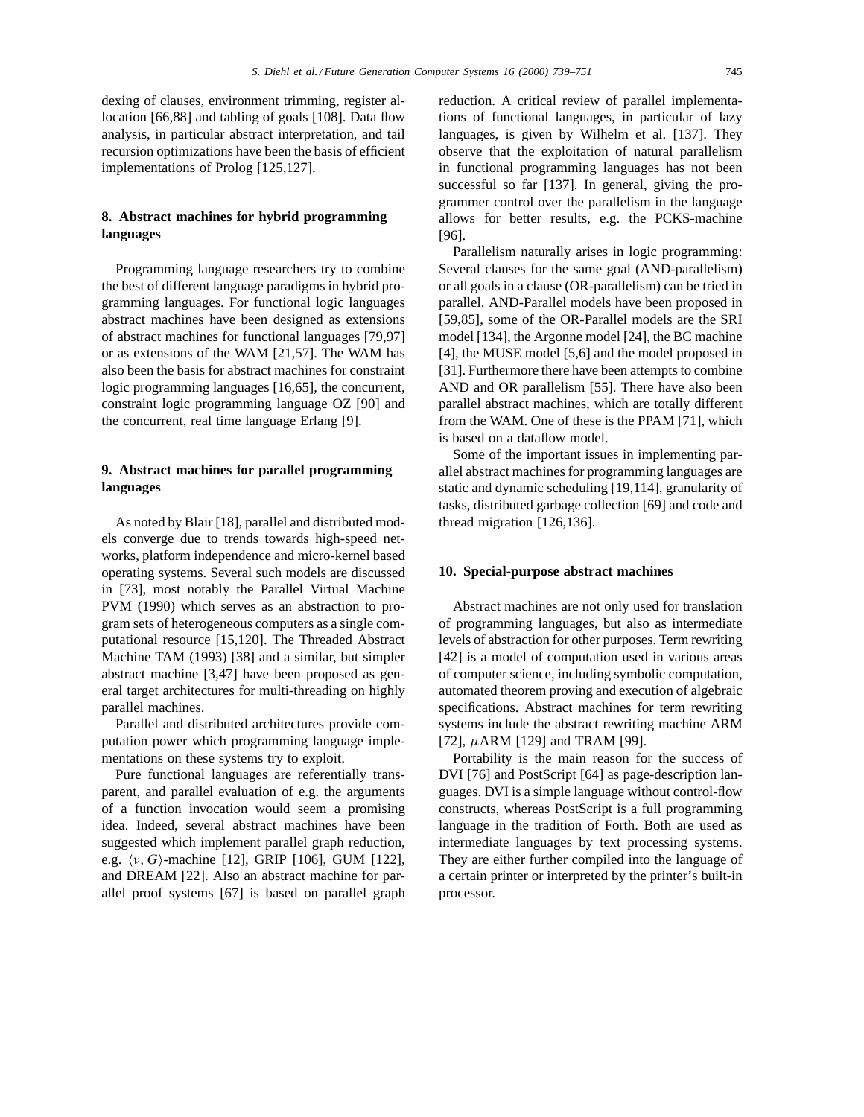dexing of clauses, environment trimming, register allocation [66,88] and tabling of goals [108]. Data flow analysis, in particular abstract interpretation, and tail recursion optimizations have been the basis of efficient implementations of Prolog [125,127].

# **8. Abstract machines for hybrid programming languages**

Programming language researchers try to combine the best of different language paradigms in hybrid programming languages. For functional logic languages abstract machines have been designed as extensions of abstract machines for functional languages [79,97] or as extensions of the WAM [21,57]. The WAM has also been the basis for abstract machines for constraint logic programming languages [16,65], the concurrent, constraint logic programming language OZ [90] and the concurrent, real time language Erlang [9].

## **9. Abstract machines for parallel programming languages**

As noted by Blair [18], parallel and distributed models converge due to trends towards high-speed networks, platform independence and micro-kernel based operating systems. Several such models are discussed in [73], most notably the Parallel Virtual Machine PVM (1990) which serves as an abstraction to program sets of heterogeneous computers as a single computational resource [15,120]. The Threaded Abstract Machine TAM (1993) [38] and a similar, but simpler abstract machine [3,47] have been proposed as general target architectures for multi-threading on highly parallel machines.

Parallel and distributed architectures provide computation power which programming language implementations on these systems try to exploit.

Pure functional languages are referentially transparent, and parallel evaluation of e.g. the arguments of a function invocation would seem a promising idea. Indeed, several abstract machines have been suggested which implement parallel graph reduction, e.g.  $\langle v, G \rangle$ -machine [12], GRIP [106], GUM [122], and DREAM [22]. Also an abstract machine for parallel proof systems [67] is based on parallel graph reduction. A critical review of parallel implementations of functional languages, in particular of lazy languages, is given by Wilhelm et al. [137]. They observe that the exploitation of natural parallelism in functional programming languages has not been successful so far [137]. In general, giving the programmer control over the parallelism in the language allows for better results, e.g. the PCKS-machine [96].

Parallelism naturally arises in logic programming: Several clauses for the same goal (AND-parallelism) or all goals in a clause (OR-parallelism) can be tried in parallel. AND-Parallel models have been proposed in [59,85], some of the OR-Parallel models are the SRI model [134], the Argonne model [24], the BC machine [4], the MUSE model [5,6] and the model proposed in [31]. Furthermore there have been attempts to combine AND and OR parallelism [55]. There have also been parallel abstract machines, which are totally different from the WAM. One of these is the PPAM [71], which is based on a dataflow model.

Some of the important issues in implementing parallel abstract machines for programming languages are static and dynamic scheduling [19,114], granularity of tasks, distributed garbage collection [69] and code and thread migration [126,136].

## **10. Special-purpose abstract machines**

Abstract machines are not only used for translation of programming languages, but also as intermediate levels of abstraction for other purposes. Term rewriting [42] is a model of computation used in various areas of computer science, including symbolic computation, automated theorem proving and execution of algebraic specifications. Abstract machines for term rewriting systems include the abstract rewriting machine ARM [72],  $\mu$ ARM [129] and TRAM [99].

Portability is the main reason for the success of DVI [76] and PostScript [64] as page-description languages. DVI is a simple language without control-flow constructs, whereas PostScript is a full programming language in the tradition of Forth. Both are used as intermediate languages by text processing systems. They are either further compiled into the language of a certain printer or interpreted by the printer's built-in processor.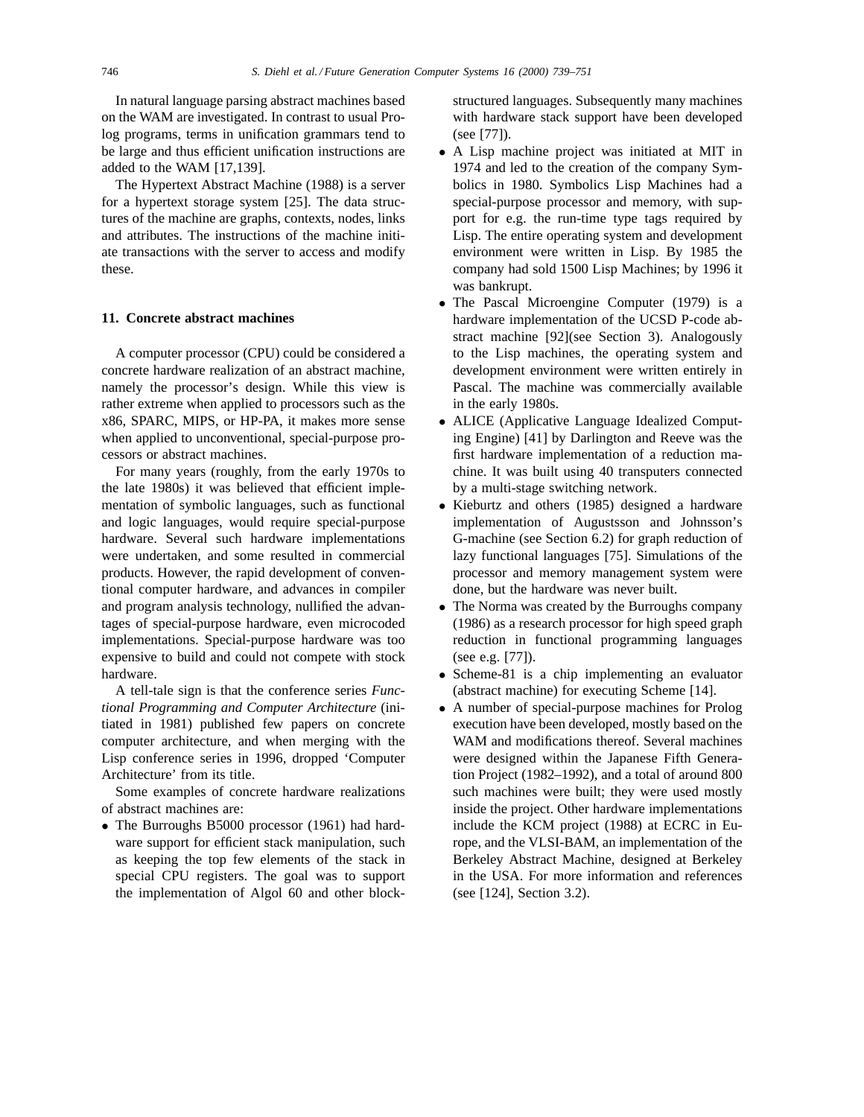In natural language parsing abstract machines based on the WAM are investigated. In contrast to usual Prolog programs, terms in unification grammars tend to be large and thus efficient unification instructions are added to the WAM [17,139].

The Hypertext Abstract Machine (1988) is a server for a hypertext storage system [25]. The data structures of the machine are graphs, contexts, nodes, links and attributes. The instructions of the machine initiate transactions with the server to access and modify these.

### **11. Concrete abstract machines**

A computer processor (CPU) could be considered a concrete hardware realization of an abstract machine, namely the processor's design. While this view is rather extreme when applied to processors such as the x86, SPARC, MIPS, or HP-PA, it makes more sense when applied to unconventional, special-purpose processors or abstract machines.

For many years (roughly, from the early 1970s to the late 1980s) it was believed that efficient implementation of symbolic languages, such as functional and logic languages, would require special-purpose hardware. Several such hardware implementations were undertaken, and some resulted in commercial products. However, the rapid development of conventional computer hardware, and advances in compiler and program analysis technology, nullified the advantages of special-purpose hardware, even microcoded implementations. Special-purpose hardware was too expensive to build and could not compete with stock hardware.

A tell-tale sign is that the conference series *Functional Programming and Computer Architecture* (initiated in 1981) published few papers on concrete computer architecture, and when merging with the Lisp conference series in 1996, dropped 'Computer Architecture' from its title.

Some examples of concrete hardware realizations of abstract machines are:

• The Burroughs B5000 processor (1961) had hardware support for efficient stack manipulation, such as keeping the top few elements of the stack in special CPU registers. The goal was to support the implementation of Algol 60 and other blockstructured languages. Subsequently many machines with hardware stack support have been developed (see [77]).

- A Lisp machine project was initiated at MIT in 1974 and led to the creation of the company Symbolics in 1980. Symbolics Lisp Machines had a special-purpose processor and memory, with support for e.g. the run-time type tags required by Lisp. The entire operating system and development environment were written in Lisp. By 1985 the company had sold 1500 Lisp Machines; by 1996 it was bankrupt.
- The Pascal Microengine Computer (1979) is a hardware implementation of the UCSD P-code abstract machine [92](see Section 3). Analogously to the Lisp machines, the operating system and development environment were written entirely in Pascal. The machine was commercially available in the early 1980s.
- ALICE (Applicative Language Idealized Computing Engine) [41] by Darlington and Reeve was the first hardware implementation of a reduction machine. It was built using 40 transputers connected by a multi-stage switching network.
- Kieburtz and others (1985) designed a hardware implementation of Augustsson and Johnsson's G-machine (see Section 6.2) for graph reduction of lazy functional languages [75]. Simulations of the processor and memory management system were done, but the hardware was never built.
- The Norma was created by the Burroughs company (1986) as a research processor for high speed graph reduction in functional programming languages (see e.g. [77]).
- Scheme-81 is a chip implementing an evaluator (abstract machine) for executing Scheme [14].
- A number of special-purpose machines for Prolog execution have been developed, mostly based on the WAM and modifications thereof. Several machines were designed within the Japanese Fifth Generation Project (1982–1992), and a total of around 800 such machines were built; they were used mostly inside the project. Other hardware implementations include the KCM project (1988) at ECRC in Europe, and the VLSI-BAM, an implementation of the Berkeley Abstract Machine, designed at Berkeley in the USA. For more information and references (see [124], Section 3.2).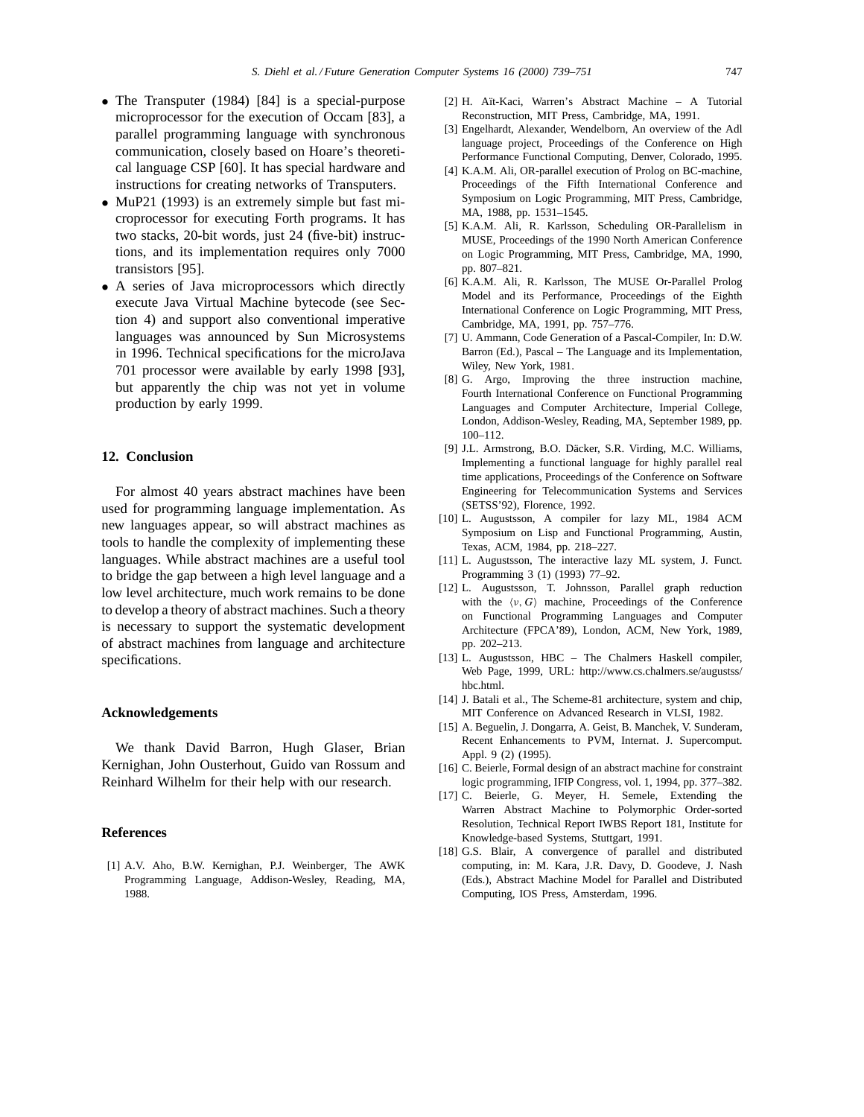- The Transputer (1984) [84] is a special-purpose microprocessor for the execution of Occam [83], a parallel programming language with synchronous communication, closely based on Hoare's theoretical language CSP [60]. It has special hardware and instructions for creating networks of Transputers.
- MuP21 (1993) is an extremely simple but fast microprocessor for executing Forth programs. It has two stacks, 20-bit words, just 24 (five-bit) instructions, and its implementation requires only 7000 transistors [95].
- A series of Java microprocessors which directly execute Java Virtual Machine bytecode (see Section 4) and support also conventional imperative languages was announced by Sun Microsystems in 1996. Technical specifications for the microJava 701 processor were available by early 1998 [93], but apparently the chip was not yet in volume production by early 1999.

## **12. Conclusion**

For almost 40 years abstract machines have been used for programming language implementation. As new languages appear, so will abstract machines as tools to handle the complexity of implementing these languages. While abstract machines are a useful tool to bridge the gap between a high level language and a low level architecture, much work remains to be done to develop a theory of abstract machines. Such a theory is necessary to support the systematic development of abstract machines from language and architecture specifications.

#### **Acknowledgements**

We thank David Barron, Hugh Glaser, Brian Kernighan, John Ousterhout, Guido van Rossum and Reinhard Wilhelm for their help with our research.

#### **References**

[1] A.V. Aho, B.W. Kernighan, P.J. Weinberger, The AWK Programming Language, Addison-Wesley, Reading, MA, 1988.

- [2] H. Aït-Kaci, Warren's Abstract Machine A Tutorial Reconstruction, MIT Press, Cambridge, MA, 1991.
- [3] Engelhardt, Alexander, Wendelborn, An overview of the Adl language project, Proceedings of the Conference on High Performance Functional Computing, Denver, Colorado, 1995.
- [4] K.A.M. Ali, OR-parallel execution of Prolog on BC-machine, Proceedings of the Fifth International Conference and Symposium on Logic Programming, MIT Press, Cambridge, MA, 1988, pp. 1531–1545.
- [5] K.A.M. Ali, R. Karlsson, Scheduling OR-Parallelism in MUSE, Proceedings of the 1990 North American Conference on Logic Programming, MIT Press, Cambridge, MA, 1990, pp. 807–821.
- [6] K.A.M. Ali, R. Karlsson, The MUSE Or-Parallel Prolog Model and its Performance, Proceedings of the Eighth International Conference on Logic Programming, MIT Press, Cambridge, MA, 1991, pp. 757–776.
- [7] U. Ammann, Code Generation of a Pascal-Compiler, In: D.W. Barron (Ed.), Pascal – The Language and its Implementation, Wiley, New York, 1981.
- [8] G. Argo, Improving the three instruction machine, Fourth International Conference on Functional Programming Languages and Computer Architecture, Imperial College, London, Addison-Wesley, Reading, MA, September 1989, pp. 100–112.
- [9] J.L. Armstrong, B.O. Däcker, S.R. Virding, M.C. Williams, Implementing a functional language for highly parallel real time applications, Proceedings of the Conference on Software Engineering for Telecommunication Systems and Services (SETSS'92), Florence, 1992.
- [10] L. Augustsson, A compiler for lazy ML, 1984 ACM Symposium on Lisp and Functional Programming, Austin, Texas, ACM, 1984, pp. 218–227.
- [11] L. Augustsson, The interactive lazy ML system, J. Funct. Programming 3 (1) (1993) 77–92.
- [12] L. Augustsson, T. Johnsson, Parallel graph reduction with the  $\langle v, G \rangle$  machine, Proceedings of the Conference on Functional Programming Languages and Computer Architecture (FPCA'89), London, ACM, New York, 1989, pp. 202–213.
- [13] L. Augustsson, HBC The Chalmers Haskell compiler, Web Page, 1999, URL: http://www.cs.chalmers.se/augustss/ hbc.html.
- [14] J. Batali et al., The Scheme-81 architecture, system and chip, MIT Conference on Advanced Research in VLSI, 1982.
- [15] A. Beguelin, J. Dongarra, A. Geist, B. Manchek, V. Sunderam, Recent Enhancements to PVM, Internat. J. Supercomput. Appl. 9 (2) (1995).
- [16] C. Beierle, Formal design of an abstract machine for constraint logic programming, IFIP Congress, vol. 1, 1994, pp. 377–382.
- [17] C. Beierle, G. Meyer, H. Semele, Extending the Warren Abstract Machine to Polymorphic Order-sorted Resolution, Technical Report IWBS Report 181, Institute for Knowledge-based Systems, Stuttgart, 1991.
- [18] G.S. Blair, A convergence of parallel and distributed computing, in: M. Kara, J.R. Davy, D. Goodeve, J. Nash (Eds.), Abstract Machine Model for Parallel and Distributed Computing, IOS Press, Amsterdam, 1996.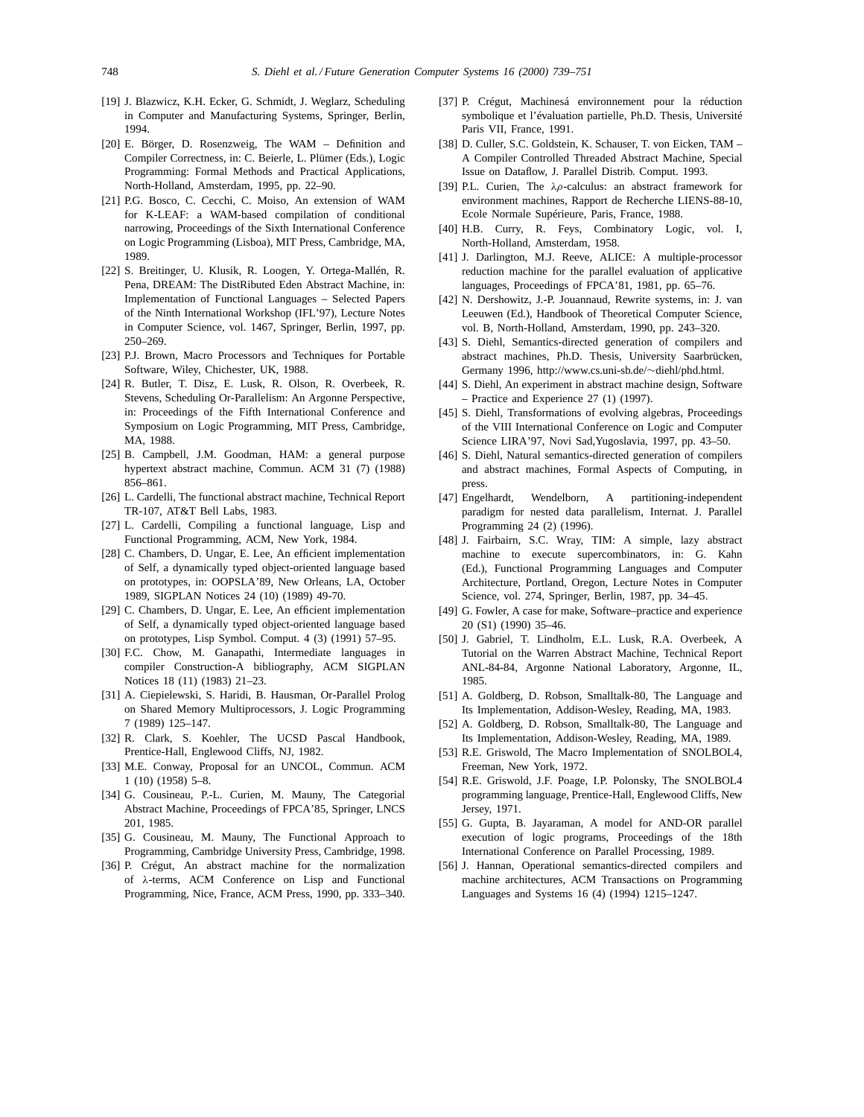- [19] J. Blazwicz, K.H. Ecker, G. Schmidt, J. Weglarz, Scheduling in Computer and Manufacturing Systems, Springer, Berlin, 1994.
- [20] E. Börger, D. Rosenzweig, The WAM Definition and Compiler Correctness, in: C. Beierle, L. Plümer (Eds.), Logic Programming: Formal Methods and Practical Applications, North-Holland, Amsterdam, 1995, pp. 22–90.
- [21] P.G. Bosco, C. Cecchi, C. Moiso, An extension of WAM for K-LEAF: a WAM-based compilation of conditional narrowing, Proceedings of the Sixth International Conference on Logic Programming (Lisboa), MIT Press, Cambridge, MA, 1989.
- [22] S. Breitinger, U. Klusik, R. Loogen, Y. Ortega-Mallén, R. Pena, DREAM: The DistRibuted Eden Abstract Machine, in: Implementation of Functional Languages – Selected Papers of the Ninth International Workshop (IFL'97), Lecture Notes in Computer Science, vol. 1467, Springer, Berlin, 1997, pp. 250–269.
- [23] P.J. Brown, Macro Processors and Techniques for Portable Software, Wiley, Chichester, UK, 1988.
- [24] R. Butler, T. Disz, E. Lusk, R. Olson, R. Overbeek, R. Stevens, Scheduling Or-Parallelism: An Argonne Perspective, in: Proceedings of the Fifth International Conference and Symposium on Logic Programming, MIT Press, Cambridge, MA, 1988.
- [25] B. Campbell, J.M. Goodman, HAM: a general purpose hypertext abstract machine, Commun. ACM 31 (7) (1988) 856–861.
- [26] L. Cardelli, The functional abstract machine, Technical Report TR-107, AT&T Bell Labs, 1983.
- [27] L. Cardelli, Compiling a functional language, Lisp and Functional Programming, ACM, New York, 1984.
- [28] C. Chambers, D. Ungar, E. Lee, An efficient implementation of Self, a dynamically typed object-oriented language based on prototypes, in: OOPSLA'89, New Orleans, LA, October 1989, SIGPLAN Notices 24 (10) (1989) 49-70.
- [29] C. Chambers, D. Ungar, E. Lee, An efficient implementation of Self, a dynamically typed object-oriented language based on prototypes, Lisp Symbol. Comput. 4 (3) (1991) 57–95.
- [30] F.C. Chow, M. Ganapathi, Intermediate languages in compiler Construction-A bibliography, ACM SIGPLAN Notices 18 (11) (1983) 21–23.
- [31] A. Ciepielewski, S. Haridi, B. Hausman, Or-Parallel Prolog on Shared Memory Multiprocessors, J. Logic Programming 7 (1989) 125–147.
- [32] R. Clark, S. Koehler, The UCSD Pascal Handbook, Prentice-Hall, Englewood Cliffs, NJ, 1982.
- [33] M.E. Conway, Proposal for an UNCOL, Commun. ACM 1 (10) (1958) 5–8.
- [34] G. Cousineau, P.-L. Curien, M. Mauny, The Categorial Abstract Machine, Proceedings of FPCA'85, Springer, LNCS 201, 1985.
- [35] G. Cousineau, M. Mauny, The Functional Approach to Programming, Cambridge University Press, Cambridge, 1998.
- [36] P. Crégut, An abstract machine for the normalization of λ-terms, ACM Conference on Lisp and Functional Programming, Nice, France, ACM Press, 1990, pp. 333–340.
- [37] P. Crégut, Machinesá environnement pour la réduction symbolique et l'évaluation partielle, Ph.D. Thesis, Université Paris VII, France, 1991.
- [38] D. Culler, S.C. Goldstein, K. Schauser, T. von Eicken, TAM A Compiler Controlled Threaded Abstract Machine, Special Issue on Dataflow, J. Parallel Distrib. Comput. 1993.
- [39] P.L. Curien, The λρ-calculus: an abstract framework for environment machines, Rapport de Recherche LIENS-88-10, Ecole Normale Supérieure, Paris, France, 1988.
- [40] H.B. Curry, R. Feys, Combinatory Logic, vol. I, North-Holland, Amsterdam, 1958.
- [41] J. Darlington, M.J. Reeve, ALICE: A multiple-processor reduction machine for the parallel evaluation of applicative languages, Proceedings of FPCA'81, 1981, pp. 65–76.
- [42] N. Dershowitz, J.-P. Jouannaud, Rewrite systems, in: J. van Leeuwen (Ed.), Handbook of Theoretical Computer Science, vol. B, North-Holland, Amsterdam, 1990, pp. 243–320.
- [43] S. Diehl, Semantics-directed generation of compilers and abstract machines, Ph.D. Thesis, University Saarbrücken, Germany 1996, http://www.cs.uni-sb.de/∼diehl/phd.html.
- [44] S. Diehl, An experiment in abstract machine design, Software – Practice and Experience 27 (1) (1997).
- [45] S. Diehl, Transformations of evolving algebras, Proceedings of the VIII International Conference on Logic and Computer Science LIRA'97, Novi Sad,Yugoslavia, 1997, pp. 43–50.
- [46] S. Diehl, Natural semantics-directed generation of compilers and abstract machines, Formal Aspects of Computing, in press.
- [47] Engelhardt, Wendelborn, A partitioning-independent paradigm for nested data parallelism, Internat. J. Parallel Programming 24 (2) (1996).
- [48] J. Fairbairn, S.C. Wray, TIM: A simple, lazy abstract machine to execute supercombinators, in: G. Kahn (Ed.), Functional Programming Languages and Computer Architecture, Portland, Oregon, Lecture Notes in Computer Science, vol. 274, Springer, Berlin, 1987, pp. 34–45.
- [49] G. Fowler, A case for make, Software–practice and experience 20 (S1) (1990) 35–46.
- [50] J. Gabriel, T. Lindholm, E.L. Lusk, R.A. Overbeek, A Tutorial on the Warren Abstract Machine, Technical Report ANL-84-84, Argonne National Laboratory, Argonne, IL, 1985.
- [51] A. Goldberg, D. Robson, Smalltalk-80, The Language and Its Implementation, Addison-Wesley, Reading, MA, 1983.
- [52] A. Goldberg, D. Robson, Smalltalk-80, The Language and Its Implementation, Addison-Wesley, Reading, MA, 1989.
- [53] R.E. Griswold, The Macro Implementation of SNOLBOL4, Freeman, New York, 1972.
- [54] R.E. Griswold, J.F. Poage, I.P. Polonsky, The SNOLBOL4 programming language, Prentice-Hall, Englewood Cliffs, New Jersey, 1971.
- [55] G. Gupta, B. Javaraman, A model for AND-OR parallel execution of logic programs, Proceedings of the 18th International Conference on Parallel Processing, 1989.
- [56] J. Hannan, Operational semantics-directed compilers and machine architectures, ACM Transactions on Programming Languages and Systems 16 (4) (1994) 1215–1247.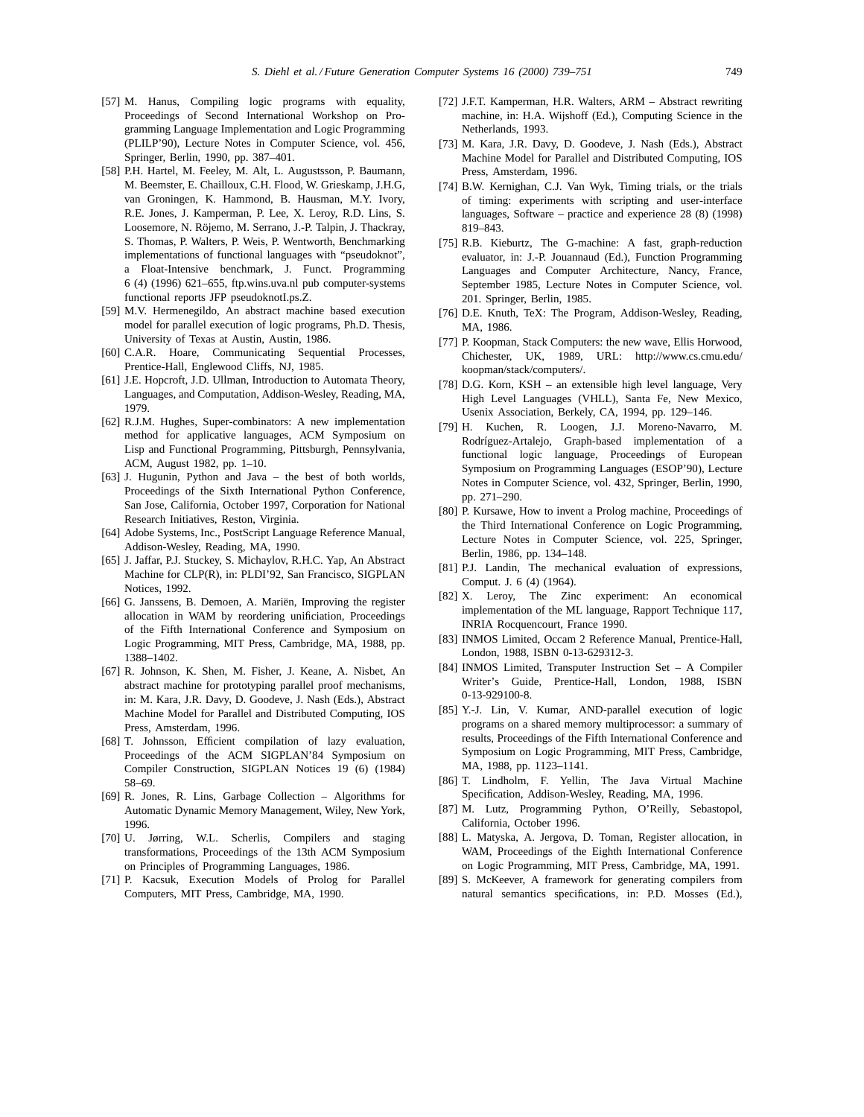- [57] M. Hanus, Compiling logic programs with equality, Proceedings of Second International Workshop on Programming Language Implementation and Logic Programming (PLILP'90), Lecture Notes in Computer Science, vol. 456, Springer, Berlin, 1990, pp. 387–401.
- [58] P.H. Hartel, M. Feeley, M. Alt, L. Augustsson, P. Baumann, M. Beemster, E. Chailloux, C.H. Flood, W. Grieskamp, J.H.G, van Groningen, K. Hammond, B. Hausman, M.Y. Ivory, R.E. Jones, J. Kamperman, P. Lee, X. Leroy, R.D. Lins, S. Loosemore, N. Röjemo, M. Serrano, J.-P. Talpin, J. Thackray, S. Thomas, P. Walters, P. Weis, P. Wentworth, Benchmarking implementations of functional languages with "pseudoknot", a Float-Intensive benchmark, J. Funct. Programming 6 (4) (1996) 621–655, ftp.wins.uva.nl pub computer-systems functional reports JFP pseudoknotI.ps.Z.
- [59] M.V. Hermenegildo, An abstract machine based execution model for parallel execution of logic programs, Ph.D. Thesis, University of Texas at Austin, Austin, 1986.
- [60] C.A.R. Hoare, Communicating Sequential Processes, Prentice-Hall, Englewood Cliffs, NJ, 1985.
- [61] J.E. Hopcroft, J.D. Ullman, Introduction to Automata Theory, Languages, and Computation, Addison-Wesley, Reading, MA, 1979.
- [62] R.J.M. Hughes, Super-combinators: A new implementation method for applicative languages, ACM Symposium on Lisp and Functional Programming, Pittsburgh, Pennsylvania, ACM, August 1982, pp. 1–10.
- [63] J. Hugunin, Python and Java the best of both worlds, Proceedings of the Sixth International Python Conference, San Jose, California, October 1997, Corporation for National Research Initiatives, Reston, Virginia.
- [64] Adobe Systems, Inc., PostScript Language Reference Manual, Addison-Wesley, Reading, MA, 1990.
- [65] J. Jaffar, P.J. Stuckey, S. Michaylov, R.H.C. Yap, An Abstract Machine for CLP(R), in: PLDI'92, San Francisco, SIGPLAN Notices, 1992.
- [66] G. Janssens, B. Demoen, A. Mariën, Improving the register allocation in WAM by reordering unificiation, Proceedings of the Fifth International Conference and Symposium on Logic Programming, MIT Press, Cambridge, MA, 1988, pp. 1388–1402.
- [67] R. Johnson, K. Shen, M. Fisher, J. Keane, A. Nisbet, An abstract machine for prototyping parallel proof mechanisms, in: M. Kara, J.R. Davy, D. Goodeve, J. Nash (Eds.), Abstract Machine Model for Parallel and Distributed Computing, IOS Press, Amsterdam, 1996.
- [68] T. Johnsson, Efficient compilation of lazy evaluation, Proceedings of the ACM SIGPLAN'84 Symposium on Compiler Construction, SIGPLAN Notices 19 (6) (1984) 58–69.
- [69] R. Jones, R. Lins, Garbage Collection Algorithms for Automatic Dynamic Memory Management, Wiley, New York, 1996.
- [70] U. Jørring, W.L. Scherlis, Compilers and staging transformations, Proceedings of the 13th ACM Symposium on Principles of Programming Languages, 1986.
- [71] P. Kacsuk, Execution Models of Prolog for Parallel Computers, MIT Press, Cambridge, MA, 1990.
- [72] J.F.T. Kamperman, H.R. Walters, ARM Abstract rewriting machine, in: H.A. Wijshoff (Ed.), Computing Science in the Netherlands, 1993.
- [73] M. Kara, J.R. Davy, D. Goodeve, J. Nash (Eds.), Abstract Machine Model for Parallel and Distributed Computing, IOS Press, Amsterdam, 1996.
- [74] B.W. Kernighan, C.J. Van Wyk, Timing trials, or the trials of timing: experiments with scripting and user-interface languages, Software – practice and experience 28 (8) (1998) 819–843.
- [75] R.B. Kieburtz, The G-machine: A fast, graph-reduction evaluator, in: J.-P. Jouannaud (Ed.), Function Programming Languages and Computer Architecture, Nancy, France, September 1985, Lecture Notes in Computer Science, vol. 201. Springer, Berlin, 1985.
- [76] D.E. Knuth, TeX: The Program, Addison-Wesley, Reading, MA, 1986.
- [77] P. Koopman, Stack Computers: the new wave, Ellis Horwood, Chichester, UK, 1989, URL: http://www.cs.cmu.edu/ koopman/stack/computers/.
- [78] D.G. Korn, KSH an extensible high level language, Very High Level Languages (VHLL), Santa Fe, New Mexico, Usenix Association, Berkely, CA, 1994, pp. 129–146.
- [79] H. Kuchen, R. Loogen, J.J. Moreno-Navarro, M. Rodríguez-Artalejo, Graph-based implementation of a functional logic language, Proceedings of European Symposium on Programming Languages (ESOP'90), Lecture Notes in Computer Science, vol. 432, Springer, Berlin, 1990, pp. 271–290.
- [80] P. Kursawe, How to invent a Prolog machine, Proceedings of the Third International Conference on Logic Programming, Lecture Notes in Computer Science, vol. 225, Springer, Berlin, 1986, pp. 134–148.
- [81] P.J. Landin, The mechanical evaluation of expressions, Comput. J. 6 (4) (1964).
- [82] X. Leroy, The Zinc experiment: An economical implementation of the ML language, Rapport Technique 117, INRIA Rocquencourt, France 1990.
- [83] INMOS Limited, Occam 2 Reference Manual, Prentice-Hall, London, 1988, ISBN 0-13-629312-3.
- [84] INMOS Limited, Transputer Instruction Set A Compiler Writer's Guide, Prentice-Hall, London, 1988, ISBN 0-13-929100-8.
- [85] Y.-J. Lin, V. Kumar, AND-parallel execution of logic programs on a shared memory multiprocessor: a summary of results, Proceedings of the Fifth International Conference and Symposium on Logic Programming, MIT Press, Cambridge, MA, 1988, pp. 1123–1141.
- [86] T. Lindholm, F. Yellin, The Java Virtual Machine Specification, Addison-Wesley, Reading, MA, 1996.
- [87] M. Lutz, Programming Python, O'Reilly, Sebastopol, California, October 1996.
- [88] L. Matyska, A. Jergova, D. Toman, Register allocation, in WAM, Proceedings of the Eighth International Conference on Logic Programming, MIT Press, Cambridge, MA, 1991.
- [89] S. McKeever, A framework for generating compilers from natural semantics specifications, in: P.D. Mosses (Ed.),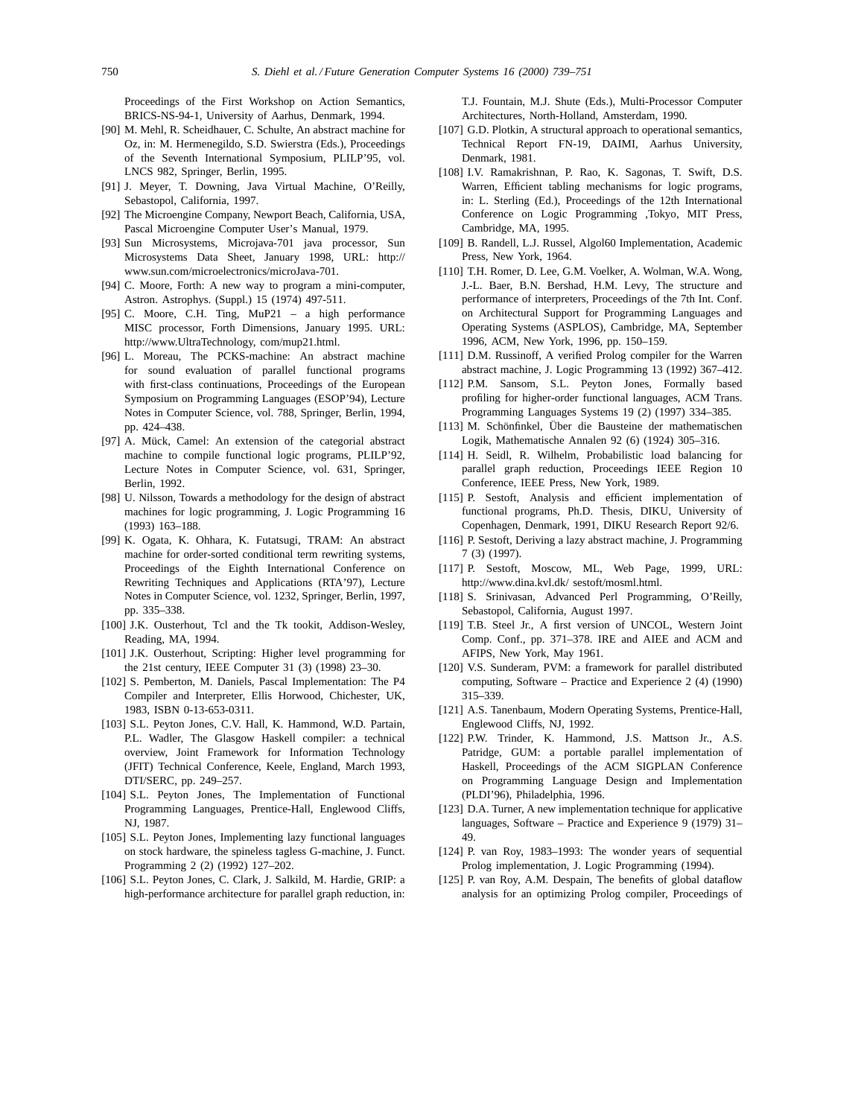Proceedings of the First Workshop on Action Semantics, BRICS-NS-94-1, University of Aarhus, Denmark, 1994.

- [90] M. Mehl, R. Scheidhauer, C. Schulte, An abstract machine for Oz, in: M. Hermenegildo, S.D. Swierstra (Eds.), Proceedings of the Seventh International Symposium, PLILP'95, vol. LNCS 982, Springer, Berlin, 1995.
- [91] J. Meyer, T. Downing, Java Virtual Machine, O'Reilly, Sebastopol, California, 1997.
- [92] The Microengine Company, Newport Beach, California, USA, Pascal Microengine Computer User's Manual, 1979.
- [93] Sun Microsystems, Microjava-701 java processor, Sun Microsystems Data Sheet, January 1998, URL: http:// www.sun.com/microelectronics/microJava-701.
- [94] C. Moore, Forth: A new way to program a mini-computer, Astron. Astrophys. (Suppl.) 15 (1974) 497-511.
- [95] C. Moore, C.H. Ting, MuP21 a high performance MISC processor, Forth Dimensions, January 1995. URL: http://www.UltraTechnology, com/mup21.html.
- [96] L. Moreau, The PCKS-machine: An abstract machine for sound evaluation of parallel functional programs with first-class continuations, Proceedings of the European Symposium on Programming Languages (ESOP'94), Lecture Notes in Computer Science, vol. 788, Springer, Berlin, 1994, pp. 424–438.
- [97] A. Mück, Camel: An extension of the categorial abstract machine to compile functional logic programs, PLILP'92, Lecture Notes in Computer Science, vol. 631, Springer, Berlin, 1992.
- [98] U. Nilsson, Towards a methodology for the design of abstract machines for logic programming, J. Logic Programming 16 (1993) 163–188.
- [99] K. Ogata, K. Ohhara, K. Futatsugi, TRAM: An abstract machine for order-sorted conditional term rewriting systems, Proceedings of the Eighth International Conference on Rewriting Techniques and Applications (RTA'97), Lecture Notes in Computer Science, vol. 1232, Springer, Berlin, 1997, pp. 335–338.
- [100] J.K. Ousterhout, Tcl and the Tk tookit, Addison-Wesley, Reading, MA, 1994.
- [101] J.K. Ousterhout, Scripting: Higher level programming for the 21st century, IEEE Computer 31 (3) (1998) 23–30.
- [102] S. Pemberton, M. Daniels, Pascal Implementation: The P4 Compiler and Interpreter, Ellis Horwood, Chichester, UK, 1983, ISBN 0-13-653-0311.
- [103] S.L. Peyton Jones, C.V. Hall, K. Hammond, W.D. Partain, P.L. Wadler, The Glasgow Haskell compiler: a technical overview, Joint Framework for Information Technology (JFIT) Technical Conference, Keele, England, March 1993, DTI/SERC, pp. 249–257.
- [104] S.L. Peyton Jones, The Implementation of Functional Programming Languages, Prentice-Hall, Englewood Cliffs, NJ, 1987.
- [105] S.L. Peyton Jones, Implementing lazy functional languages on stock hardware, the spineless tagless G-machine, J. Funct. Programming 2 (2) (1992) 127–202.
- [106] S.L. Peyton Jones, C. Clark, J. Salkild, M. Hardie, GRIP: a high-performance architecture for parallel graph reduction, in:

T.J. Fountain, M.J. Shute (Eds.), Multi-Processor Computer Architectures, North-Holland, Amsterdam, 1990.

- [107] G.D. Plotkin, A structural approach to operational semantics, Technical Report FN-19, DAIMI, Aarhus University, Denmark, 1981.
- [108] I.V. Ramakrishnan, P. Rao, K. Sagonas, T. Swift, D.S. Warren, Efficient tabling mechanisms for logic programs, in: L. Sterling (Ed.), Proceedings of the 12th International Conference on Logic Programming ,Tokyo, MIT Press, Cambridge, MA, 1995.
- [109] B. Randell, L.J. Russel, Algol60 Implementation, Academic Press, New York, 1964.
- [110] T.H. Romer, D. Lee, G.M. Voelker, A. Wolman, W.A. Wong, J.-L. Baer, B.N. Bershad, H.M. Levy, The structure and performance of interpreters, Proceedings of the 7th Int. Conf. on Architectural Support for Programming Languages and Operating Systems (ASPLOS), Cambridge, MA, September 1996, ACM, New York, 1996, pp. 150–159.
- [111] D.M. Russinoff, A verified Prolog compiler for the Warren abstract machine, J. Logic Programming 13 (1992) 367–412.
- [112] P.M. Sansom, S.L. Peyton Jones, Formally based profiling for higher-order functional languages, ACM Trans. Programming Languages Systems 19 (2) (1997) 334–385.
- [113] M. Schönfinkel, Über die Bausteine der mathematischen Logik, Mathematische Annalen 92 (6) (1924) 305–316.
- [114] H. Seidl, R. Wilhelm, Probabilistic load balancing for parallel graph reduction, Proceedings IEEE Region 10 Conference, IEEE Press, New York, 1989.
- [115] P. Sestoft, Analysis and efficient implementation of functional programs, Ph.D. Thesis, DIKU, University of Copenhagen, Denmark, 1991, DIKU Research Report 92/6.
- [116] P. Sestoft, Deriving a lazy abstract machine, J. Programming 7 (3) (1997).
- [117] P. Sestoft, Moscow, ML, Web Page, 1999, URL: http://www.dina.kvl.dk/ sestoft/mosml.html.
- [118] S. Srinivasan, Advanced Perl Programming, O'Reilly, Sebastopol, California, August 1997.
- [119] T.B. Steel Jr., A first version of UNCOL, Western Joint Comp. Conf., pp. 371–378. IRE and AIEE and ACM and AFIPS, New York, May 1961.
- [120] V.S. Sunderam, PVM: a framework for parallel distributed computing, Software – Practice and Experience 2 (4) (1990) 315–339.
- [121] A.S. Tanenbaum, Modern Operating Systems, Prentice-Hall, Englewood Cliffs, NJ, 1992.
- [122] P.W. Trinder, K. Hammond, J.S. Mattson Jr., A.S. Patridge, GUM: a portable parallel implementation of Haskell, Proceedings of the ACM SIGPLAN Conference on Programming Language Design and Implementation (PLDI'96), Philadelphia, 1996.
- [123] D.A. Turner, A new implementation technique for applicative languages, Software – Practice and Experience 9 (1979) 31– 49.
- [124] P. van Roy, 1983–1993: The wonder years of sequential Prolog implementation, J. Logic Programming (1994).
- [125] P. van Roy, A.M. Despain, The benefits of global dataflow analysis for an optimizing Prolog compiler, Proceedings of